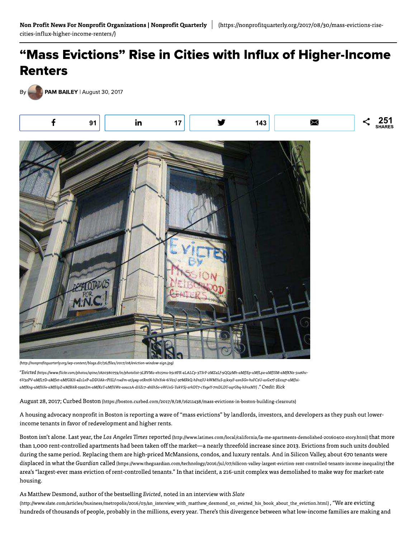## "Mass Evictions" Rise in Cities with Influx of Higher-Income **Renters**

PAM BAILEY | August 30, 2017



(http://nonprofitquarterly.org/wp-content/blogs.dir/56/files/2017/08/eviction-window-sign.jpg)

"Evicted (https://www.flickr.com/photos/spine/1820380759/in/photolist-3LRVMa-eb15mu-b5c8FK-4LALCp-3TSrF-2MZ4Lf-9QQ2Mh-aMfJEp-aMfLpx-aMfJSM-aMfKNz-5s46hc-6V5zPV-aMfL7D-aMfJet-aMfGXH-4ZcLvP-aDDUAk-rPHLf-rs4Fm-atJg4g-otRntN-hFnYok-6iVz1J-97MRkQ-hFn2JU-kWMYuS-pjkxyF-asnSGv-hsFC2U-asGx7f-5Es1q7-aMfJsiaMfKng-aMfHFe-aMfHpZ-aMfK6R-599tZm-aMfKzT-aMfHWz-aoaczA-dHZc7-4bEhSo-oWUsG-TukVSj-arkDT7-cYsgeY-7mDLDT-aqrGbq-hFnxMY)." Credit: Rick

August 28, 2017; Curbed Boston (https://boston.curbed.com/2017/8/28/16211438/mass-evictions-in-boston-building-clearouts)

A housing advocacy nonprofit in Boston is reporting a wave of "mass evictions" by landlords, investors, and developers as they push out lowerincome tenants in favor of redevelopment and higher rents.

Boston isn't alone. Last year, the Los Angeles Times reported (http://www.latimes.com/local/california/la-me-apartments-demolished-20160402-story.html) that more than 1,000 rent-controlled apartments had been taken off the market—a nearly threefold increase since 2013. Evictions from such units doubled during the same period. Replacing them are high-priced McMansions, condos, and luxury rentals. And in Silicon Valley, about 670 tenants were displaced in what the Guardian called (https://www.theguardian.com/technology/2016/jul/07/silicon-valley-largest-eviction-rent-controlled-tenants-income-inequality) the area's "largest-ever mass eviction of rent-controlled tenants." In that incident, a 216-unit complex was demolished to make way for market-rate housing.

## As Matthew Desmond, author of the bestselling Evicted, noted in an interview with Slate

(http://www.slate.com/articles/business/metropolis/2016/03/an\_interview\_with\_matthew\_desmond\_on\_evicted\_his\_book\_about\_the\_eviction.html), "We are evicting hundreds of thousands of people, probably in the millions, every year. There's this divergence between what low-income families are making and